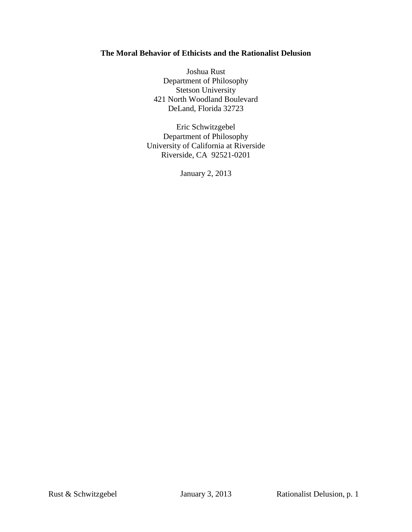# **The Moral Behavior of Ethicists and the Rationalist Delusion**

Joshua Rust Department of Philosophy Stetson University 421 North Woodland Boulevard DeLand, Florida 32723

Eric Schwitzgebel Department of Philosophy University of California at Riverside Riverside, CA 92521-0201

January 2, 2013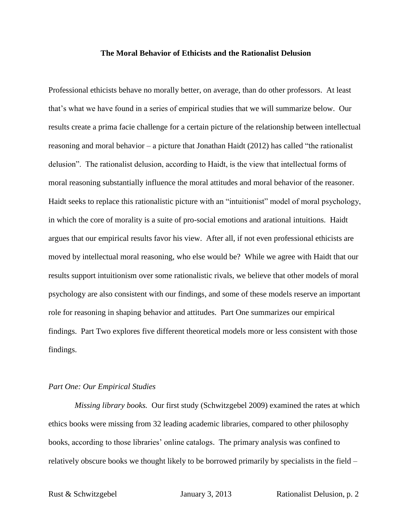## **The Moral Behavior of Ethicists and the Rationalist Delusion**

Professional ethicists behave no morally better, on average, than do other professors. At least that's what we have found in a series of empirical studies that we will summarize below. Our results create a prima facie challenge for a certain picture of the relationship between intellectual reasoning and moral behavior – a picture that Jonathan Haidt (2012) has called "the rationalist delusion". The rationalist delusion, according to Haidt, is the view that intellectual forms of moral reasoning substantially influence the moral attitudes and moral behavior of the reasoner. Haidt seeks to replace this rationalistic picture with an "intuitionist" model of moral psychology, in which the core of morality is a suite of pro-social emotions and arational intuitions. Haidt argues that our empirical results favor his view. After all, if not even professional ethicists are moved by intellectual moral reasoning, who else would be? While we agree with Haidt that our results support intuitionism over some rationalistic rivals, we believe that other models of moral psychology are also consistent with our findings, and some of these models reserve an important role for reasoning in shaping behavior and attitudes. Part One summarizes our empirical findings. Part Two explores five different theoretical models more or less consistent with those findings.

## *Part One: Our Empirical Studies*

*Missing library books.* Our first study (Schwitzgebel 2009) examined the rates at which ethics books were missing from 32 leading academic libraries, compared to other philosophy books, according to those libraries' online catalogs. The primary analysis was confined to relatively obscure books we thought likely to be borrowed primarily by specialists in the field –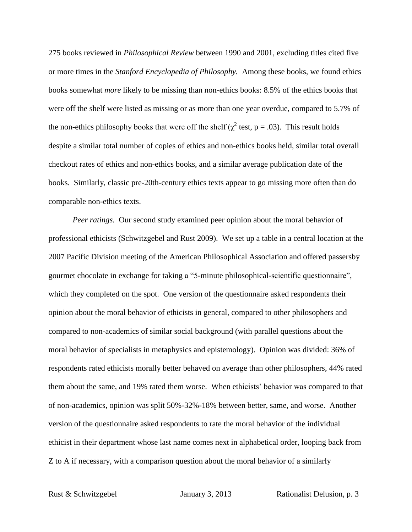275 books reviewed in *Philosophical Review* between 1990 and 2001, excluding titles cited five or more times in the *Stanford Encyclopedia of Philosophy.* Among these books, we found ethics books somewhat *more* likely to be missing than non-ethics books: 8.5% of the ethics books that were off the shelf were listed as missing or as more than one year overdue, compared to 5.7% of the non-ethics philosophy books that were off the shelf ( $\chi^2$  test, p = .03). This result holds despite a similar total number of copies of ethics and non-ethics books held, similar total overall checkout rates of ethics and non-ethics books, and a similar average publication date of the books. Similarly, classic pre-20th-century ethics texts appear to go missing more often than do comparable non-ethics texts.

*Peer ratings.* Our second study examined peer opinion about the moral behavior of professional ethicists (Schwitzgebel and Rust 2009). We set up a table in a central location at the 2007 Pacific Division meeting of the American Philosophical Association and offered passersby gourmet chocolate in exchange for taking a "5-minute philosophical-scientific questionnaire", which they completed on the spot. One version of the questionnaire asked respondents their opinion about the moral behavior of ethicists in general, compared to other philosophers and compared to non-academics of similar social background (with parallel questions about the moral behavior of specialists in metaphysics and epistemology). Opinion was divided: 36% of respondents rated ethicists morally better behaved on average than other philosophers, 44% rated them about the same, and 19% rated them worse. When ethicists' behavior was compared to that of non-academics, opinion was split 50%-32%-18% between better, same, and worse. Another version of the questionnaire asked respondents to rate the moral behavior of the individual ethicist in their department whose last name comes next in alphabetical order, looping back from Z to A if necessary, with a comparison question about the moral behavior of a similarly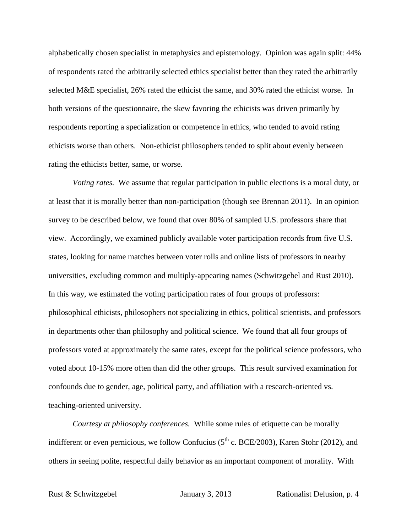alphabetically chosen specialist in metaphysics and epistemology. Opinion was again split: 44% of respondents rated the arbitrarily selected ethics specialist better than they rated the arbitrarily selected M&E specialist, 26% rated the ethicist the same, and 30% rated the ethicist worse. In both versions of the questionnaire, the skew favoring the ethicists was driven primarily by respondents reporting a specialization or competence in ethics, who tended to avoid rating ethicists worse than others. Non-ethicist philosophers tended to split about evenly between rating the ethicists better, same, or worse.

*Voting rates.* We assume that regular participation in public elections is a moral duty, or at least that it is morally better than non-participation (though see Brennan 2011). In an opinion survey to be described below, we found that over 80% of sampled U.S. professors share that view. Accordingly, we examined publicly available voter participation records from five U.S. states, looking for name matches between voter rolls and online lists of professors in nearby universities, excluding common and multiply-appearing names (Schwitzgebel and Rust 2010). In this way, we estimated the voting participation rates of four groups of professors: philosophical ethicists, philosophers not specializing in ethics, political scientists, and professors in departments other than philosophy and political science. We found that all four groups of professors voted at approximately the same rates, except for the political science professors, who voted about 10-15% more often than did the other groups. This result survived examination for confounds due to gender, age, political party, and affiliation with a research-oriented vs. teaching-oriented university.

*Courtesy at philosophy conferences.* While some rules of etiquette can be morally indifferent or even pernicious, we follow Confucius  $(5<sup>th</sup>$  c. BCE/2003), Karen Stohr (2012), and others in seeing polite, respectful daily behavior as an important component of morality. With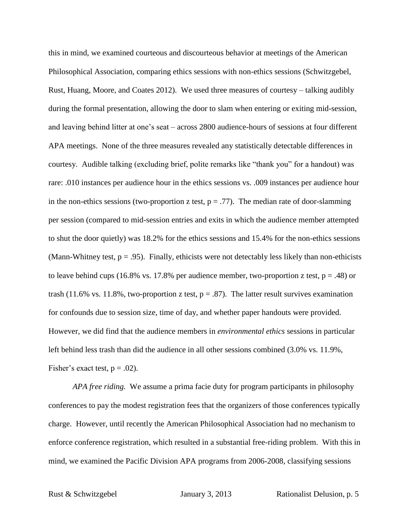this in mind, we examined courteous and discourteous behavior at meetings of the American Philosophical Association, comparing ethics sessions with non-ethics sessions (Schwitzgebel, Rust, Huang, Moore, and Coates 2012). We used three measures of courtesy – talking audibly during the formal presentation, allowing the door to slam when entering or exiting mid-session, and leaving behind litter at one's seat – across 2800 audience-hours of sessions at four different APA meetings. None of the three measures revealed any statistically detectable differences in courtesy. Audible talking (excluding brief, polite remarks like "thank you" for a handout) was rare: .010 instances per audience hour in the ethics sessions vs. .009 instances per audience hour in the non-ethics sessions (two-proportion z test,  $p = .77$ ). The median rate of door-slamming per session (compared to mid-session entries and exits in which the audience member attempted to shut the door quietly) was 18.2% for the ethics sessions and 15.4% for the non-ethics sessions (Mann-Whitney test,  $p = .95$ ). Finally, ethicists were not detectably less likely than non-ethicists to leave behind cups (16.8% vs. 17.8% per audience member, two-proportion z test,  $p = .48$ ) or trash (11.6% vs. 11.8%, two-proportion z test,  $p = .87$ ). The latter result survives examination for confounds due to session size, time of day, and whether paper handouts were provided. However, we did find that the audience members in *environmental ethics* sessions in particular left behind less trash than did the audience in all other sessions combined (3.0% vs. 11.9%, Fisher's exact test,  $p = .02$ ).

*APA free riding.* We assume a prima facie duty for program participants in philosophy conferences to pay the modest registration fees that the organizers of those conferences typically charge. However, until recently the American Philosophical Association had no mechanism to enforce conference registration, which resulted in a substantial free-riding problem. With this in mind, we examined the Pacific Division APA programs from 2006-2008, classifying sessions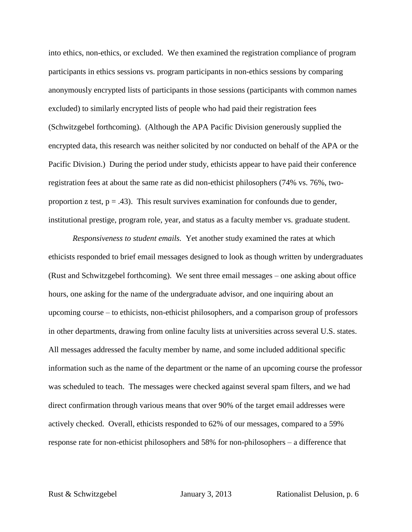into ethics, non-ethics, or excluded. We then examined the registration compliance of program participants in ethics sessions vs. program participants in non-ethics sessions by comparing anonymously encrypted lists of participants in those sessions (participants with common names excluded) to similarly encrypted lists of people who had paid their registration fees (Schwitzgebel forthcoming). (Although the APA Pacific Division generously supplied the encrypted data, this research was neither solicited by nor conducted on behalf of the APA or the Pacific Division.) During the period under study, ethicists appear to have paid their conference registration fees at about the same rate as did non-ethicist philosophers (74% vs. 76%, twoproportion z test,  $p = .43$ ). This result survives examination for confounds due to gender, institutional prestige, program role, year, and status as a faculty member vs. graduate student.

*Responsiveness to student emails.* Yet another study examined the rates at which ethicists responded to brief email messages designed to look as though written by undergraduates (Rust and Schwitzgebel forthcoming). We sent three email messages – one asking about office hours, one asking for the name of the undergraduate advisor, and one inquiring about an upcoming course – to ethicists, non-ethicist philosophers, and a comparison group of professors in other departments, drawing from online faculty lists at universities across several U.S. states. All messages addressed the faculty member by name, and some included additional specific information such as the name of the department or the name of an upcoming course the professor was scheduled to teach. The messages were checked against several spam filters, and we had direct confirmation through various means that over 90% of the target email addresses were actively checked. Overall, ethicists responded to 62% of our messages, compared to a 59% response rate for non-ethicist philosophers and 58% for non-philosophers – a difference that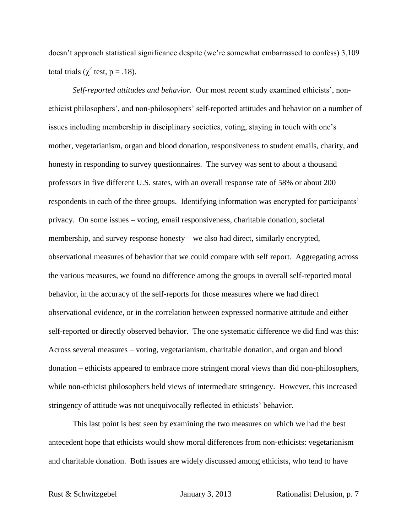doesn't approach statistical significance despite (we're somewhat embarrassed to confess) 3,109 total trials ( $\chi^2$  test, p = .18).

*Self-reported attitudes and behavior.* Our most recent study examined ethicists', nonethicist philosophers', and non-philosophers' self-reported attitudes and behavior on a number of issues including membership in disciplinary societies, voting, staying in touch with one's mother, vegetarianism, organ and blood donation, responsiveness to student emails, charity, and honesty in responding to survey questionnaires. The survey was sent to about a thousand professors in five different U.S. states, with an overall response rate of 58% or about 200 respondents in each of the three groups. Identifying information was encrypted for participants' privacy. On some issues – voting, email responsiveness, charitable donation, societal membership, and survey response honesty – we also had direct, similarly encrypted, observational measures of behavior that we could compare with self report. Aggregating across the various measures, we found no difference among the groups in overall self-reported moral behavior, in the accuracy of the self-reports for those measures where we had direct observational evidence, or in the correlation between expressed normative attitude and either self-reported or directly observed behavior. The one systematic difference we did find was this: Across several measures – voting, vegetarianism, charitable donation, and organ and blood donation – ethicists appeared to embrace more stringent moral views than did non-philosophers, while non-ethicist philosophers held views of intermediate stringency. However, this increased stringency of attitude was not unequivocally reflected in ethicists' behavior.

This last point is best seen by examining the two measures on which we had the best antecedent hope that ethicists would show moral differences from non-ethicists: vegetarianism and charitable donation. Both issues are widely discussed among ethicists, who tend to have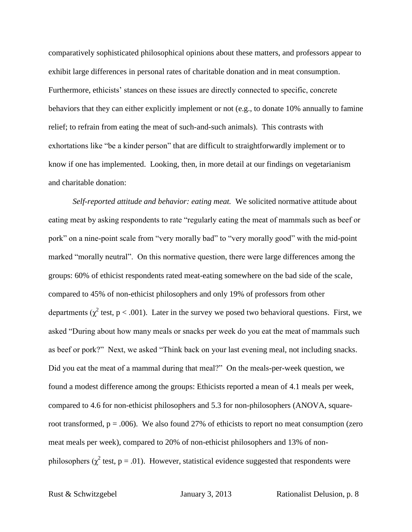comparatively sophisticated philosophical opinions about these matters, and professors appear to exhibit large differences in personal rates of charitable donation and in meat consumption. Furthermore, ethicists' stances on these issues are directly connected to specific, concrete behaviors that they can either explicitly implement or not (e.g., to donate 10% annually to famine relief; to refrain from eating the meat of such-and-such animals). This contrasts with exhortations like "be a kinder person" that are difficult to straightforwardly implement or to know if one has implemented. Looking, then, in more detail at our findings on vegetarianism and charitable donation:

*Self-reported attitude and behavior: eating meat.* We solicited normative attitude about eating meat by asking respondents to rate "regularly eating the meat of mammals such as beef or pork" on a nine-point scale from "very morally bad" to "very morally good" with the mid-point marked "morally neutral". On this normative question, there were large differences among the groups: 60% of ethicist respondents rated meat-eating somewhere on the bad side of the scale, compared to 45% of non-ethicist philosophers and only 19% of professors from other departments ( $\chi^2$  test, p < .001). Later in the survey we posed two behavioral questions. First, we asked "During about how many meals or snacks per week do you eat the meat of mammals such as beef or pork?" Next, we asked "Think back on your last evening meal, not including snacks. Did you eat the meat of a mammal during that meal?" On the meals-per-week question, we found a modest difference among the groups: Ethicists reported a mean of 4.1 meals per week, compared to 4.6 for non-ethicist philosophers and 5.3 for non-philosophers (ANOVA, squareroot transformed,  $p = .006$ ). We also found 27% of ethicists to report no meat consumption (zero meat meals per week), compared to 20% of non-ethicist philosophers and 13% of nonphilosophers ( $\chi^2$  test, p = .01). However, statistical evidence suggested that respondents were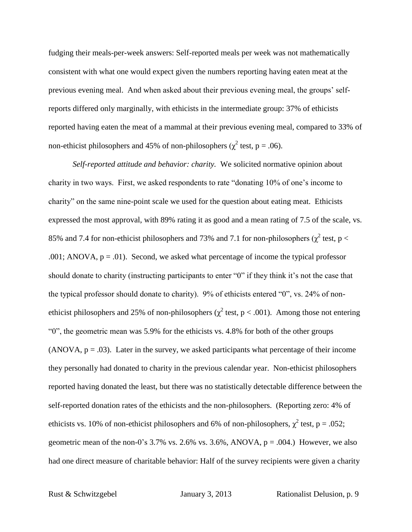fudging their meals-per-week answers: Self-reported meals per week was not mathematically consistent with what one would expect given the numbers reporting having eaten meat at the previous evening meal. And when asked about their previous evening meal, the groups' selfreports differed only marginally, with ethicists in the intermediate group: 37% of ethicists reported having eaten the meat of a mammal at their previous evening meal, compared to 33% of non-ethicist philosophers and 45% of non-philosophers ( $\chi^2$  test, p = .06).

*Self-reported attitude and behavior: charity.* We solicited normative opinion about charity in two ways. First, we asked respondents to rate "donating 10% of one's income to charity" on the same nine-point scale we used for the question about eating meat. Ethicists expressed the most approval, with 89% rating it as good and a mean rating of 7.5 of the scale, vs. 85% and 7.4 for non-ethicist philosophers and 73% and 7.1 for non-philosophers ( $\chi^2$  test, p < .001; ANOVA,  $p = .01$ ). Second, we asked what percentage of income the typical professor should donate to charity (instructing participants to enter "0" if they think it's not the case that the typical professor should donate to charity). 9% of ethicists entered "0", vs. 24% of nonethicist philosophers and 25% of non-philosophers ( $\chi^2$  test, p < .001). Among those not entering "0", the geometric mean was 5.9% for the ethicists vs. 4.8% for both of the other groups (ANOVA,  $p = .03$ ). Later in the survey, we asked participants what percentage of their income they personally had donated to charity in the previous calendar year. Non-ethicist philosophers reported having donated the least, but there was no statistically detectable difference between the self-reported donation rates of the ethicists and the non-philosophers. (Reporting zero: 4% of ethicists vs. 10% of non-ethicist philosophers and 6% of non-philosophers,  $\chi^2$  test, p = .052; geometric mean of the non-0's  $3.7\%$  vs.  $2.6\%$  vs.  $3.6\%$ , ANOVA,  $p = .004$ .) However, we also had one direct measure of charitable behavior: Half of the survey recipients were given a charity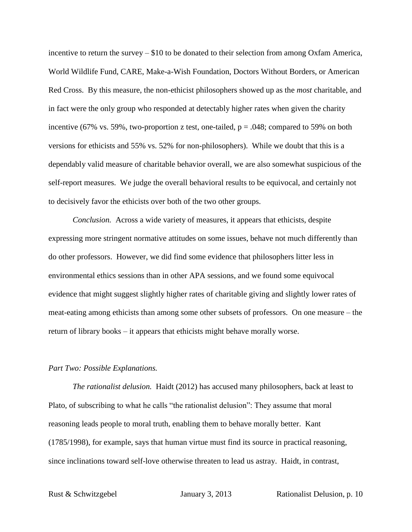incentive to return the survey – \$10 to be donated to their selection from among Oxfam America, World Wildlife Fund, CARE, Make-a-Wish Foundation, Doctors Without Borders, or American Red Cross. By this measure, the non-ethicist philosophers showed up as the *most* charitable, and in fact were the only group who responded at detectably higher rates when given the charity incentive (67% vs. 59%, two-proportion z test, one-tailed,  $p = .048$ ; compared to 59% on both versions for ethicists and 55% vs. 52% for non-philosophers). While we doubt that this is a dependably valid measure of charitable behavior overall, we are also somewhat suspicious of the self-report measures. We judge the overall behavioral results to be equivocal, and certainly not to decisively favor the ethicists over both of the two other groups.

*Conclusion.* Across a wide variety of measures, it appears that ethicists, despite expressing more stringent normative attitudes on some issues, behave not much differently than do other professors. However, we did find some evidence that philosophers litter less in environmental ethics sessions than in other APA sessions, and we found some equivocal evidence that might suggest slightly higher rates of charitable giving and slightly lower rates of meat-eating among ethicists than among some other subsets of professors. On one measure – the return of library books – it appears that ethicists might behave morally worse.

### *Part Two: Possible Explanations.*

*The rationalist delusion.* Haidt (2012) has accused many philosophers, back at least to Plato, of subscribing to what he calls "the rationalist delusion": They assume that moral reasoning leads people to moral truth, enabling them to behave morally better. Kant (1785/1998), for example, says that human virtue must find its source in practical reasoning, since inclinations toward self-love otherwise threaten to lead us astray. Haidt, in contrast,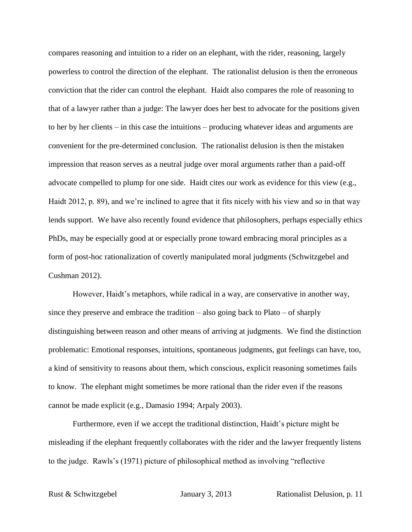compares reasoning and intuition to a rider on an elephant, with the rider, reasoning, largely powerless to control the direction of the elephant. The rationalist delusion is then the erroneous conviction that the rider can control the elephant. Haidt also compares the role of reasoning to that of a lawyer rather than a judge: The lawyer does her best to advocate for the positions given to her by her clients – in this case the intuitions – producing whatever ideas and arguments are convenient for the pre-determined conclusion. The rationalist delusion is then the mistaken impression that reason serves as a neutral judge over moral arguments rather than a paid-off advocate compelled to plump for one side. Haidt cites our work as evidence for this view (e.g., Haidt 2012, p. 89), and we're inclined to agree that it fits nicely with his view and so in that way lends support. We have also recently found evidence that philosophers, perhaps especially ethics PhDs, may be especially good at or especially prone toward embracing moral principles as a form of post-hoc rationalization of covertly manipulated moral judgments (Schwitzgebel and Cushman 2012).

However, Haidt's metaphors, while radical in a way, are conservative in another way, since they preserve and embrace the tradition – also going back to Plato – of sharply distinguishing between reason and other means of arriving at judgments. We find the distinction problematic: Emotional responses, intuitions, spontaneous judgments, gut feelings can have, too, a kind of sensitivity to reasons about them, which conscious, explicit reasoning sometimes fails to know. The elephant might sometimes be more rational than the rider even if the reasons cannot be made explicit (e.g., Damasio 1994; Arpaly 2003).

Furthermore, even if we accept the traditional distinction, Haidt's picture might be misleading if the elephant frequently collaborates with the rider and the lawyer frequently listens to the judge. Rawls's (1971) picture of philosophical method as involving "reflective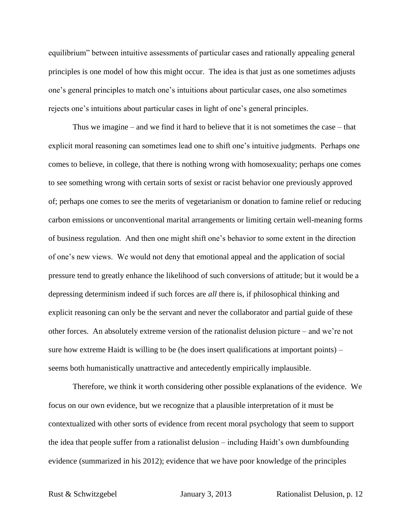equilibrium" between intuitive assessments of particular cases and rationally appealing general principles is one model of how this might occur. The idea is that just as one sometimes adjusts one's general principles to match one's intuitions about particular cases, one also sometimes rejects one's intuitions about particular cases in light of one's general principles.

Thus we imagine – and we find it hard to believe that it is not sometimes the case – that explicit moral reasoning can sometimes lead one to shift one's intuitive judgments. Perhaps one comes to believe, in college, that there is nothing wrong with homosexuality; perhaps one comes to see something wrong with certain sorts of sexist or racist behavior one previously approved of; perhaps one comes to see the merits of vegetarianism or donation to famine relief or reducing carbon emissions or unconventional marital arrangements or limiting certain well-meaning forms of business regulation. And then one might shift one's behavior to some extent in the direction of one's new views. We would not deny that emotional appeal and the application of social pressure tend to greatly enhance the likelihood of such conversions of attitude; but it would be a depressing determinism indeed if such forces are *all* there is, if philosophical thinking and explicit reasoning can only be the servant and never the collaborator and partial guide of these other forces. An absolutely extreme version of the rationalist delusion picture – and we're not sure how extreme Haidt is willing to be (he does insert qualifications at important points) – seems both humanistically unattractive and antecedently empirically implausible.

Therefore, we think it worth considering other possible explanations of the evidence. We focus on our own evidence, but we recognize that a plausible interpretation of it must be contextualized with other sorts of evidence from recent moral psychology that seem to support the idea that people suffer from a rationalist delusion – including Haidt's own dumbfounding evidence (summarized in his 2012); evidence that we have poor knowledge of the principles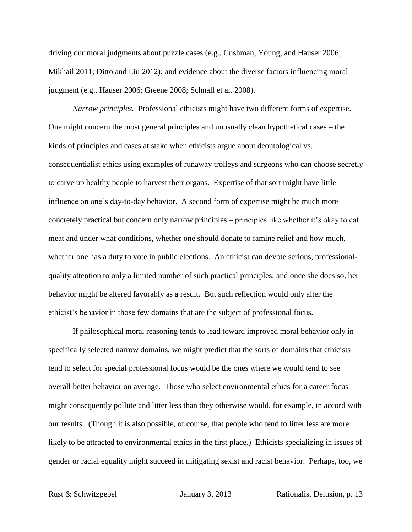driving our moral judgments about puzzle cases (e.g., Cushman, Young, and Hauser 2006; Mikhail 2011; Ditto and Liu 2012); and evidence about the diverse factors influencing moral judgment (e.g., Hauser 2006; Greene 2008; Schnall et al. 2008).

*Narrow principles.* Professional ethicists might have two different forms of expertise. One might concern the most general principles and unusually clean hypothetical cases – the kinds of principles and cases at stake when ethicists argue about deontological vs. consequentialist ethics using examples of runaway trolleys and surgeons who can choose secretly to carve up healthy people to harvest their organs. Expertise of that sort might have little influence on one's day-to-day behavior. A second form of expertise might be much more concretely practical but concern only narrow principles – principles like whether it's okay to eat meat and under what conditions, whether one should donate to famine relief and how much, whether one has a duty to vote in public elections. An ethicist can devote serious, professionalquality attention to only a limited number of such practical principles; and once she does so, her behavior might be altered favorably as a result. But such reflection would only alter the ethicist's behavior in those few domains that are the subject of professional focus.

If philosophical moral reasoning tends to lead toward improved moral behavior only in specifically selected narrow domains, we might predict that the sorts of domains that ethicists tend to select for special professional focus would be the ones where we would tend to see overall better behavior on average. Those who select environmental ethics for a career focus might consequently pollute and litter less than they otherwise would, for example, in accord with our results. (Though it is also possible, of course, that people who tend to litter less are more likely to be attracted to environmental ethics in the first place.) Ethicists specializing in issues of gender or racial equality might succeed in mitigating sexist and racist behavior. Perhaps, too, we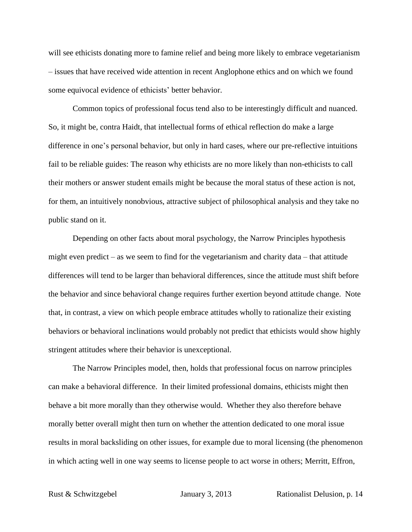will see ethicists donating more to famine relief and being more likely to embrace vegetarianism – issues that have received wide attention in recent Anglophone ethics and on which we found some equivocal evidence of ethicists' better behavior.

Common topics of professional focus tend also to be interestingly difficult and nuanced. So, it might be, contra Haidt, that intellectual forms of ethical reflection do make a large difference in one's personal behavior, but only in hard cases, where our pre-reflective intuitions fail to be reliable guides: The reason why ethicists are no more likely than non-ethicists to call their mothers or answer student emails might be because the moral status of these action is not, for them, an intuitively nonobvious, attractive subject of philosophical analysis and they take no public stand on it.

Depending on other facts about moral psychology, the Narrow Principles hypothesis might even predict – as we seem to find for the vegetarianism and charity data – that attitude differences will tend to be larger than behavioral differences, since the attitude must shift before the behavior and since behavioral change requires further exertion beyond attitude change. Note that, in contrast, a view on which people embrace attitudes wholly to rationalize their existing behaviors or behavioral inclinations would probably not predict that ethicists would show highly stringent attitudes where their behavior is unexceptional.

The Narrow Principles model, then, holds that professional focus on narrow principles can make a behavioral difference. In their limited professional domains, ethicists might then behave a bit more morally than they otherwise would. Whether they also therefore behave morally better overall might then turn on whether the attention dedicated to one moral issue results in moral backsliding on other issues, for example due to moral licensing (the phenomenon in which acting well in one way seems to license people to act worse in others; Merritt, Effron,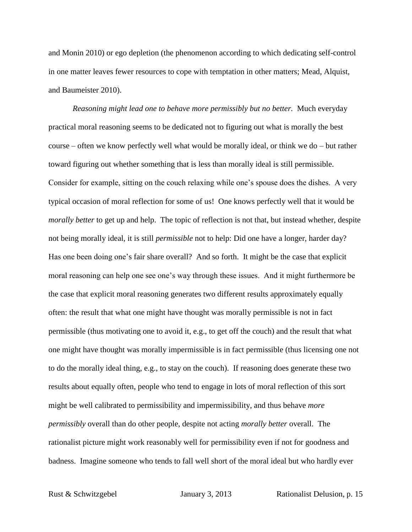and Monin 2010) or ego depletion (the phenomenon according to which dedicating self-control in one matter leaves fewer resources to cope with temptation in other matters; Mead, Alquist, and Baumeister 2010).

*Reasoning might lead one to behave more permissibly but no better.* Much everyday practical moral reasoning seems to be dedicated not to figuring out what is morally the best course – often we know perfectly well what would be morally ideal, or think we do – but rather toward figuring out whether something that is less than morally ideal is still permissible. Consider for example, sitting on the couch relaxing while one's spouse does the dishes. A very typical occasion of moral reflection for some of us! One knows perfectly well that it would be *morally better* to get up and help. The topic of reflection is not that, but instead whether, despite not being morally ideal, it is still *permissible* not to help: Did one have a longer, harder day? Has one been doing one's fair share overall? And so forth. It might be the case that explicit moral reasoning can help one see one's way through these issues. And it might furthermore be the case that explicit moral reasoning generates two different results approximately equally often: the result that what one might have thought was morally permissible is not in fact permissible (thus motivating one to avoid it, e.g., to get off the couch) and the result that what one might have thought was morally impermissible is in fact permissible (thus licensing one not to do the morally ideal thing, e.g., to stay on the couch). If reasoning does generate these two results about equally often, people who tend to engage in lots of moral reflection of this sort might be well calibrated to permissibility and impermissibility, and thus behave *more permissibly* overall than do other people, despite not acting *morally better* overall. The rationalist picture might work reasonably well for permissibility even if not for goodness and badness. Imagine someone who tends to fall well short of the moral ideal but who hardly ever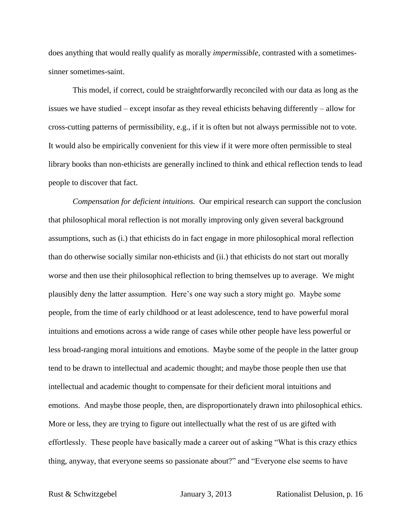does anything that would really qualify as morally *impermissible,* contrasted with a sometimessinner sometimes-saint.

This model, if correct, could be straightforwardly reconciled with our data as long as the issues we have studied – except insofar as they reveal ethicists behaving differently – allow for cross-cutting patterns of permissibility, e.g., if it is often but not always permissible not to vote. It would also be empirically convenient for this view if it were more often permissible to steal library books than non-ethicists are generally inclined to think and ethical reflection tends to lead people to discover that fact.

*Compensation for deficient intuitions.* Our empirical research can support the conclusion that philosophical moral reflection is not morally improving only given several background assumptions, such as (i.) that ethicists do in fact engage in more philosophical moral reflection than do otherwise socially similar non-ethicists and (ii.) that ethicists do not start out morally worse and then use their philosophical reflection to bring themselves up to average. We might plausibly deny the latter assumption. Here's one way such a story might go. Maybe some people, from the time of early childhood or at least adolescence, tend to have powerful moral intuitions and emotions across a wide range of cases while other people have less powerful or less broad-ranging moral intuitions and emotions. Maybe some of the people in the latter group tend to be drawn to intellectual and academic thought; and maybe those people then use that intellectual and academic thought to compensate for their deficient moral intuitions and emotions. And maybe those people, then, are disproportionately drawn into philosophical ethics. More or less, they are trying to figure out intellectually what the rest of us are gifted with effortlessly. These people have basically made a career out of asking "What is this crazy ethics thing, anyway, that everyone seems so passionate about?" and "Everyone else seems to have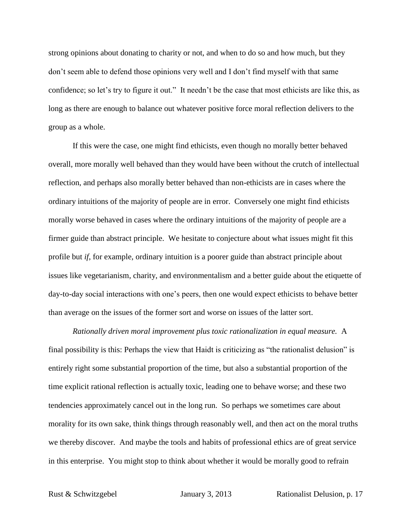strong opinions about donating to charity or not, and when to do so and how much, but they don't seem able to defend those opinions very well and I don't find myself with that same confidence; so let's try to figure it out." It needn't be the case that most ethicists are like this, as long as there are enough to balance out whatever positive force moral reflection delivers to the group as a whole.

If this were the case, one might find ethicists, even though no morally better behaved overall, more morally well behaved than they would have been without the crutch of intellectual reflection, and perhaps also morally better behaved than non-ethicists are in cases where the ordinary intuitions of the majority of people are in error. Conversely one might find ethicists morally worse behaved in cases where the ordinary intuitions of the majority of people are a firmer guide than abstract principle. We hesitate to conjecture about what issues might fit this profile but *if,* for example, ordinary intuition is a poorer guide than abstract principle about issues like vegetarianism, charity, and environmentalism and a better guide about the etiquette of day-to-day social interactions with one's peers, then one would expect ethicists to behave better than average on the issues of the former sort and worse on issues of the latter sort.

*Rationally driven moral improvement plus toxic rationalization in equal measure.* A final possibility is this: Perhaps the view that Haidt is criticizing as "the rationalist delusion" is entirely right some substantial proportion of the time, but also a substantial proportion of the time explicit rational reflection is actually toxic, leading one to behave worse; and these two tendencies approximately cancel out in the long run. So perhaps we sometimes care about morality for its own sake, think things through reasonably well, and then act on the moral truths we thereby discover. And maybe the tools and habits of professional ethics are of great service in this enterprise. You might stop to think about whether it would be morally good to refrain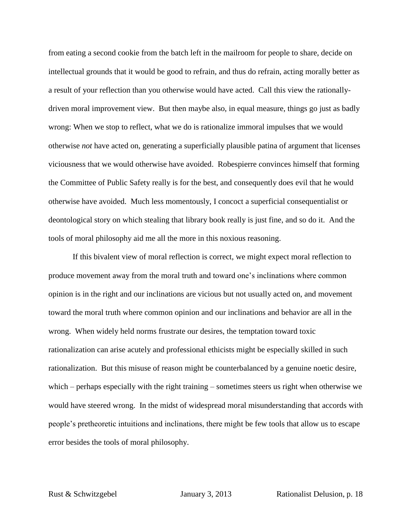from eating a second cookie from the batch left in the mailroom for people to share, decide on intellectual grounds that it would be good to refrain, and thus do refrain, acting morally better as a result of your reflection than you otherwise would have acted. Call this view the rationallydriven moral improvement view. But then maybe also, in equal measure, things go just as badly wrong: When we stop to reflect, what we do is rationalize immoral impulses that we would otherwise *not* have acted on, generating a superficially plausible patina of argument that licenses viciousness that we would otherwise have avoided. Robespierre convinces himself that forming the Committee of Public Safety really is for the best, and consequently does evil that he would otherwise have avoided. Much less momentously, I concoct a superficial consequentialist or deontological story on which stealing that library book really is just fine, and so do it. And the tools of moral philosophy aid me all the more in this noxious reasoning.

If this bivalent view of moral reflection is correct, we might expect moral reflection to produce movement away from the moral truth and toward one's inclinations where common opinion is in the right and our inclinations are vicious but not usually acted on, and movement toward the moral truth where common opinion and our inclinations and behavior are all in the wrong. When widely held norms frustrate our desires, the temptation toward toxic rationalization can arise acutely and professional ethicists might be especially skilled in such rationalization. But this misuse of reason might be counterbalanced by a genuine noetic desire, which – perhaps especially with the right training – sometimes steers us right when otherwise we would have steered wrong. In the midst of widespread moral misunderstanding that accords with people's pretheoretic intuitions and inclinations, there might be few tools that allow us to escape error besides the tools of moral philosophy.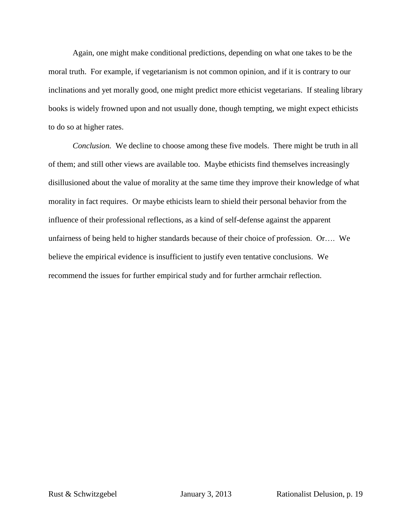Again, one might make conditional predictions, depending on what one takes to be the moral truth. For example, if vegetarianism is not common opinion, and if it is contrary to our inclinations and yet morally good, one might predict more ethicist vegetarians. If stealing library books is widely frowned upon and not usually done, though tempting, we might expect ethicists to do so at higher rates.

*Conclusion.* We decline to choose among these five models. There might be truth in all of them; and still other views are available too. Maybe ethicists find themselves increasingly disillusioned about the value of morality at the same time they improve their knowledge of what morality in fact requires. Or maybe ethicists learn to shield their personal behavior from the influence of their professional reflections, as a kind of self-defense against the apparent unfairness of being held to higher standards because of their choice of profession. Or…. We believe the empirical evidence is insufficient to justify even tentative conclusions. We recommend the issues for further empirical study and for further armchair reflection.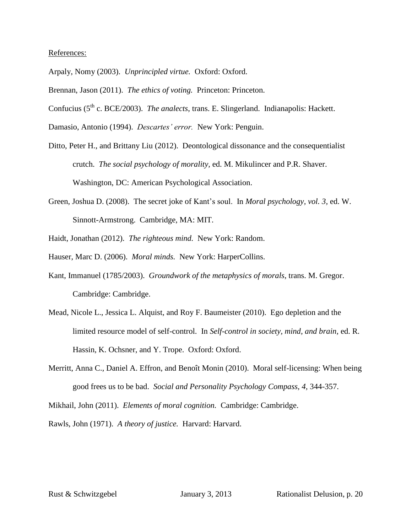### References:

- Arpaly, Nomy (2003). *Unprincipled virtue.* Oxford: Oxford.
- Brennan, Jason (2011). *The ethics of voting.* Princeton: Princeton.
- Confucius (5<sup>th</sup> c. BCE/2003). *The analects*, trans. E. Slingerland. Indianapolis: Hackett.
- Damasio, Antonio (1994). *Descartes' error.* New York: Penguin.
- Ditto, Peter H., and Brittany Liu (2012). Deontological dissonance and the consequentialist crutch. *The social psychology of morality,* ed. M. Mikulincer and P.R. Shaver. Washington, DC: American Psychological Association.
- Green, Joshua D. (2008). The secret joke of Kant's soul. In *Moral psychology, vol. 3,* ed. W. Sinnott-Armstrong. Cambridge, MA: MIT.
- Haidt, Jonathan (2012). *The righteous mind.* New York: Random.
- Hauser, Marc D. (2006). *Moral minds.* New York: HarperCollins.
- Kant, Immanuel (1785/2003). *Groundwork of the metaphysics of morals*, trans. M. Gregor. Cambridge: Cambridge.
- Mead, Nicole L., Jessica L. Alquist, and Roy F. Baumeister (2010). Ego depletion and the limited resource model of self-control. In *Self-control in society, mind, and brain,* ed. R. Hassin, K. Ochsner, and Y. Trope. Oxford: Oxford.
- Merritt, Anna C., Daniel A. Effron, and Benoît Monin (2010). Moral self-licensing: When being good frees us to be bad. *Social and Personality Psychology Compass, 4,* 344-357.
- Mikhail, John (2011). *Elements of moral cognition.* Cambridge: Cambridge.

Rawls, John (1971). *A theory of justice.* Harvard: Harvard.